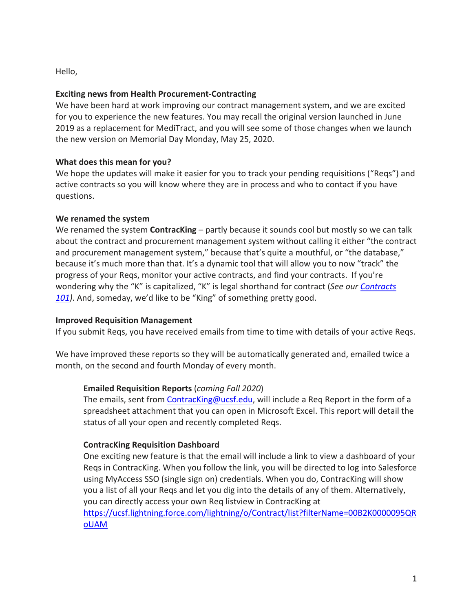Hello,

## **Exciting news from Health Procurement-Contracting**

We have been hard at work improving our contract management system, and we are excited for you to experience the new features. You may recall the original version launched in June 2019 as a replacement for MediTract, and you will see some of those changes when we launch the new version on Memorial Day Monday, May 25, 2020.

## **What does this mean for you?**

We hope the updates will make it easier for you to track your pending requisitions ("Reqs") and active contracts so you will know where they are in process and who to contact if you have questions.

## **We renamed the system**

We renamed the system **ContracKing** – partly because it sounds cool but mostly so we can talk about the contract and procurement management system without calling it either "the contract and procurement management system," because that's quite a mouthful, or "the database," because it's much more than that. It's a dynamic tool that will allow you to now "track" the progress of your Reqs, monitor your active contracts, and find your contracts. If you're wondering why the "K" is capitalized, "K" is legal shorthand for contract (*See our [Contracts](https://www.supplychain-ucsfhealth.org/contracting) [101\)](https://www.supplychain-ucsfhealth.org/contracting)*. And, someday, we'd like to be "King" of something pretty good.

### **Improved Requisition Management**

If you submit Reqs, you have received emails from time to time with details of your active Reqs.

We have improved these reports so they will be automatically generated and, emailed twice a month, on the second and fourth Monday of every month.

## **Emailed Requisition Reports** (*coming Fall 2020*)

The emails, sent from [ContracKing@ucsf.edu,](mailto:ContracKing@ucsf.edu) will include a Req Report in the form of a spreadsheet attachment that you can open in Microsoft Excel. This report will detail the status of all your open and recently completed Reqs.

## **ContracKing Requisition Dashboard**

One exciting new feature is that the email will include a link to view a dashboard of your Reqs in ContracKing. When you follow the link, you will be directed to log into Salesforce using MyAccess SSO (single sign on) credentials. When you do, ContracKing will show you a list of all your Reqs and let you dig into the details of any of them. Alternatively, you can directly access your own Req listview in ContracKing at

[https://ucsf.lightning.force.com/lightning/o/Contract/list?filterName=00B2K0000095QR](https://ucsf.lightning.force.com/lightning/o/Contract/list?filterName=00B2K0000095QRoUAM) [oUAM](https://ucsf.lightning.force.com/lightning/o/Contract/list?filterName=00B2K0000095QRoUAM)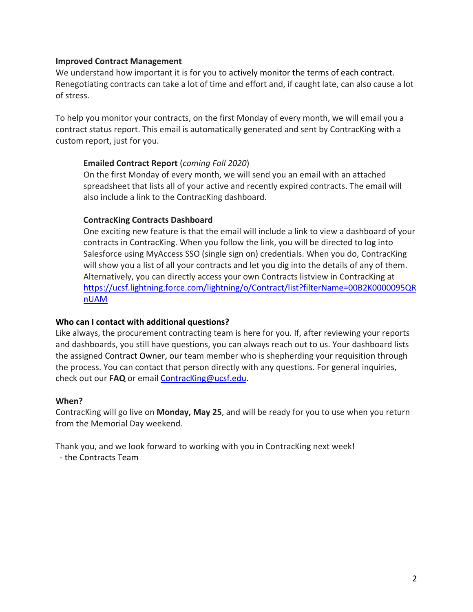### **Improved Contract Management**

We understand how important it is for you to actively monitor the terms of each contract. Renegotiating contracts can take a lot of time and effort and, if caught late, can also cause a lot of stress.

To help you monitor your contracts, on the first Monday of every month, we will email you a contract status report. This email is automatically generated and sent by ContracKing with a custom report, just for you.

### **Emailed Contract Report** (*coming Fall 2020*)

On the first Monday of every month, we will send you an email with an attached spreadsheet that lists all of your active and recently expired contracts. The email will also include a link to the ContracKing dashboard.

### **ContracKing Contracts Dashboard**

One exciting new feature is that the email will include a link to view a dashboard of your contracts in ContracKing. When you follow the link, you will be directed to log into Salesforce using MyAccess SSO (single sign on) credentials. When you do, ContracKing will show you a list of all your contracts and let you dig into the details of any of them. Alternatively, you can directly access your own Contracts listview in ContracKing at [https://ucsf.lightning.force.com/lightning/o/Contract/list?filterName=00B2K0000095QR](https://ucsf.lightning.force.com/lightning/o/Contract/list?filterName=00B2K0000095QRnUAM) [nUAM](https://ucsf.lightning.force.com/lightning/o/Contract/list?filterName=00B2K0000095QRnUAM)

### **Who can I contact with additional questions?**

Like always, the procurement contracting team is here for you. If, after reviewing your reports and dashboards, you still have questions, you can always reach out to us. Your dashboard lists the assigned Contract Owner, our team member who is shepherding your requisition through the process. You can contact that person directly with any questions. For general inquiries, check out our **FAQ** or email [ContracKing@ucsf.edu.](mailto:ContracKing@ucsf.edu)

### **When?**

ContracKing will go live on **Monday, May 25**, and will be ready for you to use when you return from the Memorial Day weekend.

Thank you, and we look forward to working with you in ContracKing next week! - the Contracts Team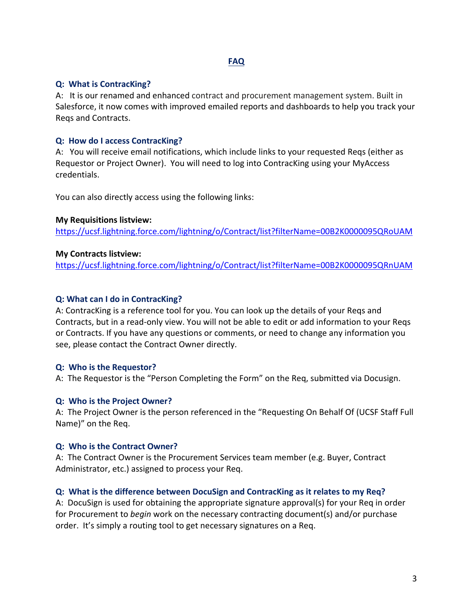## **FAQ**

### **Q: What is ContracKing?**

A: It is our renamed and enhanced contract and procurement management system. Built in Salesforce, it now comes with improved emailed reports and dashboards to help you track your Reqs and Contracts.

## **Q: How do I access ContracKing?**

A: You will receive email notifications, which include links to your requested Reqs (either as Requestor or Project Owner). You will need to log into ContracKing using your MyAccess credentials.

You can also directly access using the following links:

### **My Requisitions listview:**

<https://ucsf.lightning.force.com/lightning/o/Contract/list?filterName=00B2K0000095QRoUAM>

## **My Contracts listview:**

<https://ucsf.lightning.force.com/lightning/o/Contract/list?filterName=00B2K0000095QRnUAM>

## **Q: What can I do in ContracKing?**

A: ContracKing is a reference tool for you. You can look up the details of your Reqs and Contracts, but in a read-only view. You will not be able to edit or add information to your Reqs or Contracts. If you have any questions or comments, or need to change any information you see, please contact the Contract Owner directly.

### **Q: Who is the Requestor?**

A: The Requestor is the "Person Completing the Form" on the Req, submitted via Docusign.

### **Q: Who is the Project Owner?**

A: The Project Owner is the person referenced in the "Requesting On Behalf Of (UCSF Staff Full Name)" on the Req.

### **Q: Who is the Contract Owner?**

A: The Contract Owner is the Procurement Services team member (e.g. Buyer, Contract Administrator, etc.) assigned to process your Req.

## **Q: What is the difference between DocuSign and ContracKing as it relates to my Req?**

A: DocuSign is used for obtaining the appropriate signature approval(s) for your Req in order for Procurement to *begin* work on the necessary contracting document(s) and/or purchase order. It's simply a routing tool to get necessary signatures on a Req.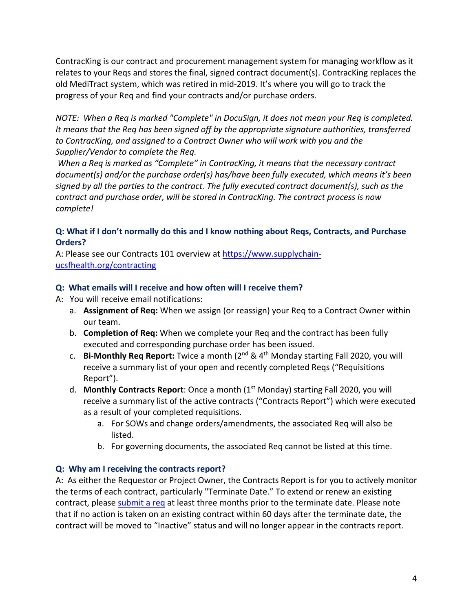ContracKing is our contract and procurement management system for managing workflow as it relates to your Reqs and stores the final, signed contract document(s). ContracKing replaces the old MediTract system, which was retired in mid-2019. It's where you will go to track the progress of your Req and find your contracts and/or purchase orders.

*NOTE: When a Req is marked "Complete" in DocuSign, it does not mean your Req is completed. It means that the Req has been signed off by the appropriate signature authorities, transferred to ContracKing, and assigned to a Contract Owner who will work with you and the Supplier/Vendor to complete the Req.*

*When a Req is marked as "Complete" in ContracKing, it means that the necessary contract document(s) and/or the purchase order(s) has/have been fully executed, which means it's been signed by all the parties to the contract. The fully executed contract document(s), such as the contract and purchase order, will be stored in ContracKing. The contract process is now complete!*

## **Q: What if I don't normally do this and I know nothing about Reqs, Contracts, and Purchase Orders?**

A: Please see our Contracts 101 overview at [https://www.supplychain](https://www.supplychain-ucsfhealth.org/contracting)[ucsfhealth.org/contracting](https://www.supplychain-ucsfhealth.org/contracting)

# **Q: What emails will I receive and how often will I receive them?**

- A: You will receive email notifications:
	- a. **Assignment of Req:** When we assign (or reassign) your Req to a Contract Owner within our team.
	- b. **Completion of Req:** When we complete your Req and the contract has been fully executed and corresponding purchase order has been issued.
	- c. **Bi-Monthly Req Report:** Twice a month (2nd & 4th Monday starting Fall 2020, you will receive a summary list of your open and recently completed Reqs ("Requisitions Report").
	- d. **Monthly Contracts Report**: Once a month (1st Monday) starting Fall 2020, you will receive a summary list of the active contracts ("Contracts Report") which were executed as a result of your completed requisitions.
		- a. For SOWs and change orders/amendments, the associated Req will also be listed.
		- b. For governing documents, the associated Req cannot be listed at this time.

## **Q: Why am I receiving the contracts report?**

A: As either the Requestor or Project Owner, the Contracts Report is for you to actively monitor the terms of each contract, particularly "Terminate Date." To extend or renew an existing contract, please [submit a req](https://urldefense.proofpoint.com/v2/url?u=https-3A__www.supplychain-2Ducsfhealth.org_electronic-2Dreq&d=DwMCaQ&c=iORugZls2LlYyCAZRB3XLg&r=fzqCvEUf_Y8Y5d299HJ_bA&m=AoNMCFUJX0aZTFoZkoAs9qOhQJEWp-vwh0hxWOh_RWY&s=I62pSU0_1UbNn1wVYlMStuCwdoZ5_HZH1Bc3_OTxY-I&e=) at least three months prior to the terminate date. Please note that if no action is taken on an existing contract within 60 days after the terminate date, the contract will be moved to "Inactive" status and will no longer appear in the contracts report.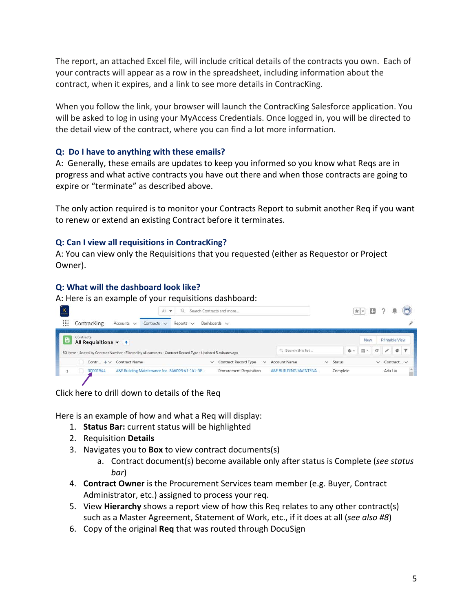The report, an attached Excel file, will include critical details of the contracts you own. Each of your contracts will appear as a row in the spreadsheet, including information about the contract, when it expires, and a link to see more details in ContracKing.

When you follow the link, your browser will launch the ContracKing Salesforce application. You will be asked to log in using your MyAccess Credentials. Once logged in, you will be directed to the detail view of the contract, where you can find a lot more information.

## **Q: Do I have to anything with these emails?**

A: Generally, these emails are updates to keep you informed so you know what Reqs are in progress and what active contracts you have out there and when those contracts are going to expire or "terminate" as described above.

The only action required is to monitor your Contracts Report to submit another Req if you want to renew or extend an existing Contract before it terminates.

## **Q: Can I view all requisitions in ContracKing?**

A: You can view only the Requisitions that you requested (either as Requestor or Project Owner).

## **Q: What will the dashboard look like?**

A: Here is an example of your requisitions dashboard:

|   |                                                                                                                 |                      | Search Contracts and more<br>All<br>$\mathbf{v}$ |                |              |                                             | ★▼ 田               |                  |    |            |                |                        |   |  |
|---|-----------------------------------------------------------------------------------------------------------------|----------------------|--------------------------------------------------|----------------|--------------|---------------------------------------------|--------------------|------------------|----|------------|----------------|------------------------|---|--|
| ₩ | Contracking                                                                                                     | Accounts $\vee$      | Contracts $\vee$                                 | Reports $\vee$ |              | Dashboards $\vee$                           |                    |                  |    |            |                |                        |   |  |
| 晋 | Contracts<br>All Requisitions $\blacktriangledown$                                                              |                      |                                                  |                |              |                                             |                    |                  |    | <b>New</b> |                | <b>Printable View</b>  |   |  |
|   | 50 items · Sorted by Contract Number · Filtered by all contracts · Contract Record Type · Updated 5 minutes ago |                      |                                                  |                |              |                                             | Q Search this list |                  | 章。 | Ⅲ →        | $\mathbb{C}^l$ |                        | e |  |
|   | Contr $\downarrow \vee$                                                                                         | <b>Contract Name</b> |                                                  |                | $\checkmark$ | <b>Contract Record Type</b><br>$\checkmark$ | Account Name       | Status<br>$\vee$ |    |            |                | $\vee$ Contract $\vee$ |   |  |
|   |                                                                                                                 |                      |                                                  |                |              |                                             |                    |                  |    |            |                |                        |   |  |

Click here to drill down to details of the Req

Here is an example of how and what a Req will display:

- 1. **Status Bar:** current status will be highlighted
- 2. Requisition **Details**
- 3. Navigates you to **Box** to view contract documents(s)
	- a. Contract document(s) become available only after status is Complete (*see status bar*)
- 4. **Contract Owner** is the Procurement Services team member (e.g. Buyer, Contract Administrator, etc.) assigned to process your req.
- 5. View **Hierarchy** shows a report view of how this Req relates to any other contract(s) such as a Master Agreement, Statement of Work, etc., if it does at all (*see also #8*)
- 6. Copy of the original **Req** that was routed through DocuSign